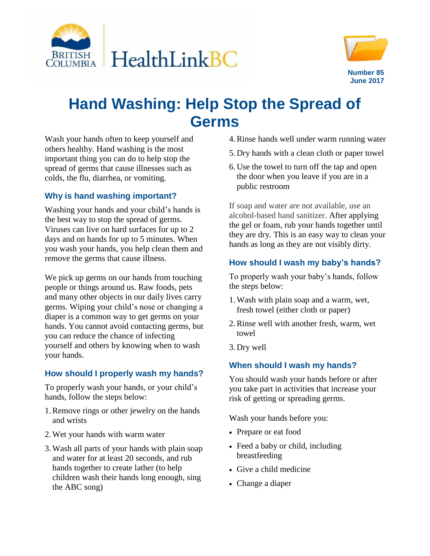



# **Hand Washing: Help Stop the Spread of Germs**

Wash your hands often to keep yourself and others healthy. Hand washing is the most important thing you can do to help stop the spread of germs that cause illnesses such as colds, the flu, diarrhea, or vomiting.

#### **Why is hand washing important?**

Washing your hands and your child's hands is the best way to stop the spread of germs. Viruses can live on hard surfaces for up to 2 days and on hands for up to 5 minutes. When you wash your hands, you help clean them and remove the germs that cause illness.

We pick up germs on our hands from touching people or things around us. Raw foods, pets and many other objects in our daily lives carry germs. Wiping your child's nose or changing a diaper is a common way to get germs on your hands. You cannot avoid contacting germs, but you can reduce the chance of infecting yourself and others by knowing when to wash your hands.

# **How should I properly wash my hands?**

To properly wash your hands, or your child's hands, follow the steps below:

- 1.Remove rings or other jewelry on the hands and wrists
- 2.Wet your hands with warm water
- 3.Wash all parts of your hands with plain soap and water for at least 20 seconds, and rub hands together to create lather (to help children wash their hands long enough, sing the ABC song)
- 4.Rinse hands well under warm running water
- 5. Dry hands with a clean cloth or paper towel
- 6. Use the towel to turn off the tap and open the door when you leave if you are in a public restroom

If soap and water are not available, use an alcohol-based hand sanitizer. After applying the gel or foam, rub your hands together until they are dry. This is an easy way to clean your hands as long as they are not visibly dirty.

# **How should I wash my baby's hands?**

To properly wash your baby's hands, follow the steps below:

- 1.Wash with plain soap and a warm, wet, fresh towel (either cloth or paper)
- 2.Rinse well with another fresh, warm, wet towel
- 3. Dry well

# **When should I wash my hands?**

You should wash your hands before or after you take part in activities that increase your risk of getting or spreading germs.

Wash your hands before you:

- Prepare or eat food
- Feed a baby or child, including breastfeeding
- Give a child medicine
- Change a diaper